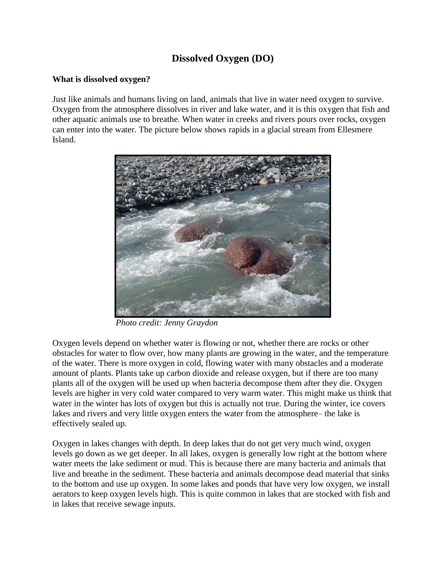# **Dissolved Oxygen (DO)**

## **What is dissolved oxygen?**

Just like animals and humans living on land, animals that live in water need oxygen to survive. Oxygen from the atmosphere dissolves in river and lake water, and it is this oxygen that fish and other aquatic animals use to breathe. When water in creeks and rivers pours over rocks, oxygen can enter into the water. The picture below shows rapids in a glacial stream from Ellesmere Island.



*Photo credit: Jenny Graydon*

Oxygen levels depend on whether water is flowing or not, whether there are rocks or other obstacles for water to flow over, how many plants are growing in the water, and the temperature of the water. There is more oxygen in cold, flowing water with many obstacles and a moderate amount of plants. Plants take up carbon dioxide and release oxygen, but if there are too many plants all of the oxygen will be used up when bacteria decompose them after they die. Oxygen levels are higher in very cold water compared to very warm water. This might make us think that water in the winter has lots of oxygen but this is actually not true. During the winter, ice covers lakes and rivers and very little oxygen enters the water from the atmosphere– the lake is effectively sealed up.

Oxygen in lakes changes with depth. In deep lakes that do not get very much wind, oxygen levels go down as we get deeper. In all lakes, oxygen is generally low right at the bottom where water meets the lake sediment or mud. This is because there are many bacteria and animals that live and breathe in the sediment. These bacteria and animals decompose dead material that sinks to the bottom and use up oxygen. In some lakes and ponds that have very low oxygen, we install aerators to keep oxygen levels high. This is quite common in lakes that are stocked with fish and in lakes that receive sewage inputs.